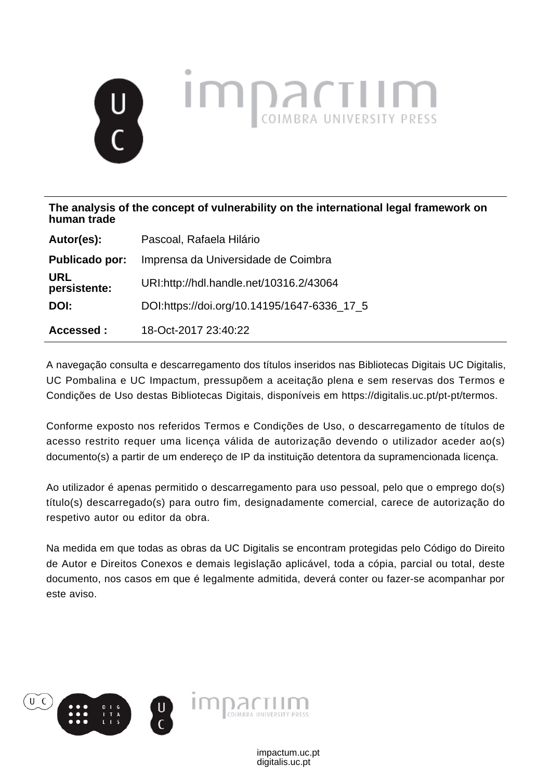# **IMPRACTION**

**The analysis of the concept of vulnerability on the international legal framework on human trade**

| Autor(es):                 | Pascoal, Rafaela Hilário                    |
|----------------------------|---------------------------------------------|
| Publicado por:             | Imprensa da Universidade de Coimbra         |
| <b>URL</b><br>persistente: | URI:http://hdl.handle.net/10316.2/43064     |
| DOI:                       | DOI:https://doi.org/10.14195/1647-6336_17_5 |
| Accessed:                  | 18-Oct-2017 23:40:22                        |

A navegação consulta e descarregamento dos títulos inseridos nas Bibliotecas Digitais UC Digitalis, UC Pombalina e UC Impactum, pressupõem a aceitação plena e sem reservas dos Termos e Condições de Uso destas Bibliotecas Digitais, disponíveis em https://digitalis.uc.pt/pt-pt/termos.

Conforme exposto nos referidos Termos e Condições de Uso, o descarregamento de títulos de acesso restrito requer uma licença válida de autorização devendo o utilizador aceder ao(s) documento(s) a partir de um endereço de IP da instituição detentora da supramencionada licença.

Ao utilizador é apenas permitido o descarregamento para uso pessoal, pelo que o emprego do(s) título(s) descarregado(s) para outro fim, designadamente comercial, carece de autorização do respetivo autor ou editor da obra.

Na medida em que todas as obras da UC Digitalis se encontram protegidas pelo Código do Direito de Autor e Direitos Conexos e demais legislação aplicável, toda a cópia, parcial ou total, deste documento, nos casos em que é legalmente admitida, deverá conter ou fazer-se acompanhar por este aviso.

> digitalis.uc.pt impactum.uc.pt

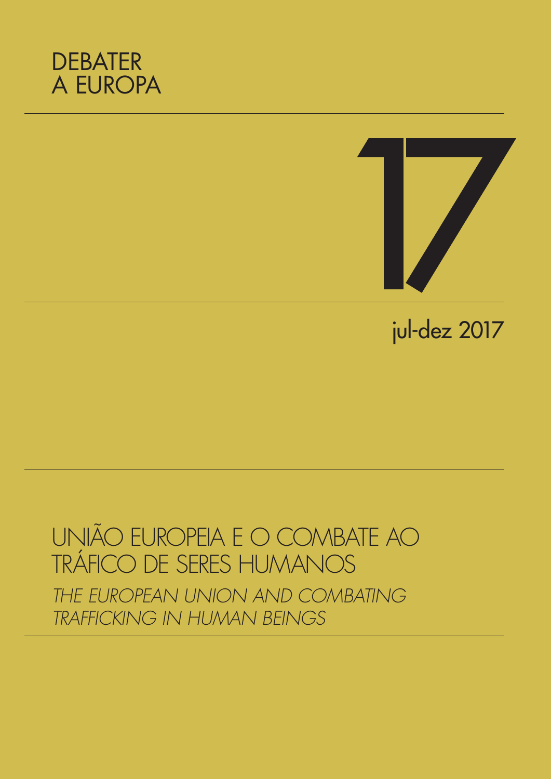



## jul-dez 2017

## UNIÃO EUROPEIA E O COMBATE AO TRÁFICO DE SERES HUMANOS

*THE EUROPEAN UNION AND COMBATING TRAFFICKING IN HUMAN BEINGS*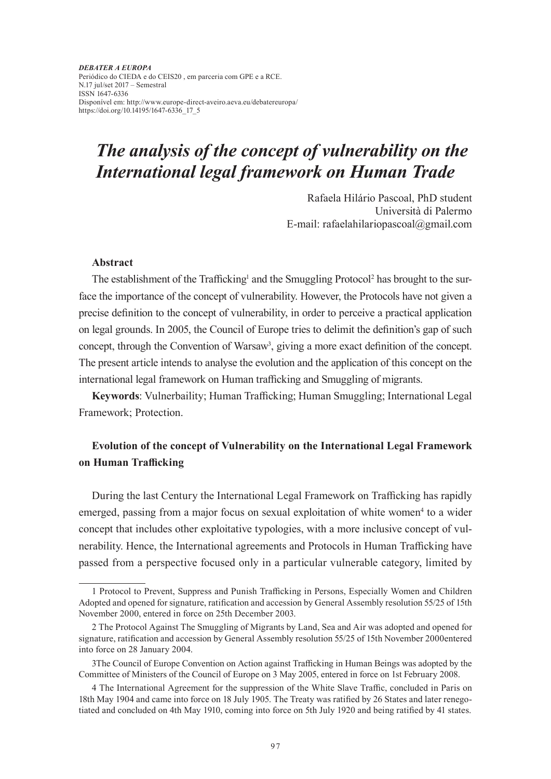*DEBATER A EUROPA*  Periódico do CIEDA e do CEIS20 , em parceria com GPE e a RCE. N.17 jul/set 2017 – Semestral ISSN 1647-6336 Disponível em: http://www.europe-direct-aveiro.aeva.eu/debatereuropa/ https://doi.org/10.14195/1647-6336\_17\_5

### *The analysis of the concept of vulnerability on the International legal framework on Human Trade*

Rafaela Hilário Pascoal, PhD student Università di Palermo E-mail: rafaelahilariopascoal@gmail.com

#### **Abstract**

The establishment of the Trafficking<sup>1</sup> and the Smuggling Protocol<sup>2</sup> has brought to the surface the importance of the concept of vulnerability. However, the Protocols have not given a precise definition to the concept of vulnerability, in order to perceive a practical application on legal grounds. In 2005, the Council of Europe tries to delimit the definition's gap of such concept, through the Convention of Warsaw<sup>3</sup>, giving a more exact definition of the concept. The present article intends to analyse the evolution and the application of this concept on the international legal framework on Human trafficking and Smuggling of migrants.

**Keywords**: Vulnerbaility; Human Trafficking; Human Smuggling; International Legal Framework; Protection.

#### **Evolution of the concept of Vulnerability on the International Legal Framework on Human Trafficking**

During the last Century the International Legal Framework on Trafficking has rapidly emerged, passing from a major focus on sexual exploitation of white women<sup>4</sup> to a wider concept that includes other exploitative typologies, with a more inclusive concept of vulnerability. Hence, the International agreements and Protocols in Human Trafficking have passed from a perspective focused only in a particular vulnerable category, limited by

<sup>1</sup> Protocol to Prevent, Suppress and Punish Trafficking in Persons, Especially Women and Children Adopted and opened for signature, ratification and accession by General Assembly resolution 55/25 of 15th November 2000, entered in force on 25th December 2003.

<sup>2</sup> The Protocol Against The Smuggling of Migrants by Land, Sea and Air was adopted and opened for signature, ratification and accession by General Assembly resolution 55/25 of 15th November 2000entered into force on 28 January 2004.

<sup>3</sup>The Council of Europe Convention on Action against Trafficking in Human Beings was adopted by the Committee of Ministers of the Council of Europe on 3 May 2005, entered in force on 1st February 2008.

<sup>4</sup> The International Agreement for the suppression of the White Slave Traffic, concluded in Paris on 18th May 1904 and came into force on 18 July 1905. The Treaty was ratified by 26 States and later renegotiated and concluded on 4th May 1910, coming into force on 5th July 1920 and being ratified by 41 states.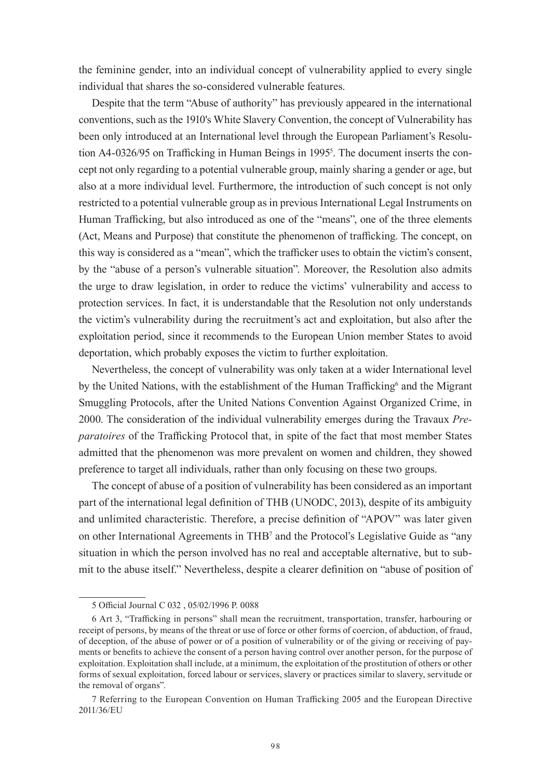the feminine gender, into an individual concept of vulnerability applied to every single individual that shares the so-considered vulnerable features.

Despite that the term "Abuse of authority" has previously appeared in the international conventions, such as the 1910's White Slavery Convention, the concept of Vulnerability has been only introduced at an International level through the European Parliament's Resolution A4-0326/95 on Trafficking in Human Beings in 1995<sup>5</sup>. The document inserts the concept not only regarding to a potential vulnerable group, mainly sharing a gender or age, but also at a more individual level. Furthermore, the introduction of such concept is not only restricted to a potential vulnerable group as in previous International Legal Instruments on Human Trafficking, but also introduced as one of the "means", one of the three elements (Act, Means and Purpose) that constitute the phenomenon of trafficking. The concept, on this way is considered as a "mean", which the trafficker uses to obtain the victim's consent, by the "abuse of a person's vulnerable situation". Moreover, the Resolution also admits the urge to draw legislation, in order to reduce the victims' vulnerability and access to protection services. In fact, it is understandable that the Resolution not only understands the victim's vulnerability during the recruitment's act and exploitation, but also after the exploitation period, since it recommends to the European Union member States to avoid deportation, which probably exposes the victim to further exploitation.

Nevertheless, the concept of vulnerability was only taken at a wider International level by the United Nations, with the establishment of the Human Trafficking<sup>6</sup> and the Migrant Smuggling Protocols, after the United Nations Convention Against Organized Crime, in 2000. The consideration of the individual vulnerability emerges during the Travaux *Preparatoires* of the Trafficking Protocol that, in spite of the fact that most member States admitted that the phenomenon was more prevalent on women and children, they showed preference to target all individuals, rather than only focusing on these two groups.

The concept of abuse of a position of vulnerability has been considered as an important part of the international legal definition of THB (UNODC, 2013), despite of its ambiguity and unlimited characteristic. Therefore, a precise definition of "APOV" was later given on other International Agreements in THB<sup>7</sup> and the Protocol's Legislative Guide as "any situation in which the person involved has no real and acceptable alternative, but to submit to the abuse itself." Nevertheless, despite a clearer definition on "abuse of position of

<sup>5</sup> Official Journal C 032 , 05/02/1996 P. 0088

<sup>6</sup> Art 3, "Trafficking in persons" shall mean the recruitment, transportation, transfer, harbouring or receipt of persons, by means of the threat or use of force or other forms of coercion, of abduction, of fraud, of deception, of the abuse of power or of a position of vulnerability or of the giving or receiving of payments or benefits to achieve the consent of a person having control over another person, for the purpose of exploitation. Exploitation shall include, at a minimum, the exploitation of the prostitution of others or other forms of sexual exploitation, forced labour or services, slavery or practices similar to slavery, servitude or the removal of organs".

<sup>7</sup> Referring to the European Convention on Human Trafficking 2005 and the European Directive 2011/36/EU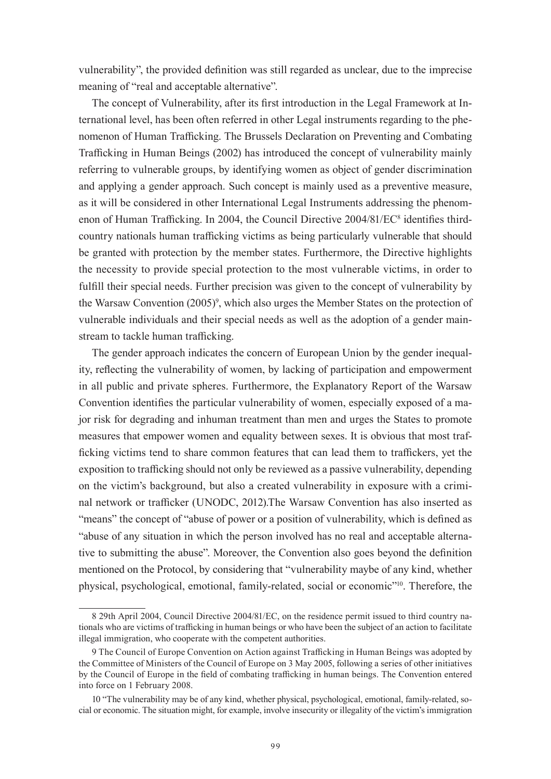vulnerability", the provided definition was still regarded as unclear, due to the imprecise meaning of "real and acceptable alternative".

The concept of Vulnerability, after its first introduction in the Legal Framework at International level, has been often referred in other Legal instruments regarding to the phenomenon of Human Trafficking. The Brussels Declaration on Preventing and Combating Trafficking in Human Beings (2002) has introduced the concept of vulnerability mainly referring to vulnerable groups, by identifying women as object of gender discrimination and applying a gender approach. Such concept is mainly used as a preventive measure, as it will be considered in other International Legal Instruments addressing the phenomenon of Human Trafficking. In 2004, the Council Directive 2004/81/EC<sup>8</sup> identifies thirdcountry nationals human trafficking victims as being particularly vulnerable that should be granted with protection by the member states. Furthermore, the Directive highlights the necessity to provide special protection to the most vulnerable victims, in order to fulfill their special needs. Further precision was given to the concept of vulnerability by the Warsaw Convention (2005)<sup>9</sup>, which also urges the Member States on the protection of vulnerable individuals and their special needs as well as the adoption of a gender mainstream to tackle human trafficking.

The gender approach indicates the concern of European Union by the gender inequality, reflecting the vulnerability of women, by lacking of participation and empowerment in all public and private spheres. Furthermore, the Explanatory Report of the Warsaw Convention identifies the particular vulnerability of women, especially exposed of a major risk for degrading and inhuman treatment than men and urges the States to promote measures that empower women and equality between sexes. It is obvious that most trafficking victims tend to share common features that can lead them to traffickers, yet the exposition to trafficking should not only be reviewed as a passive vulnerability, depending on the victim's background, but also a created vulnerability in exposure with a criminal network or trafficker (UNODC, 2012).The Warsaw Convention has also inserted as "means" the concept of "abuse of power or a position of vulnerability, which is defined as "abuse of any situation in which the person involved has no real and acceptable alternative to submitting the abuse". Moreover, the Convention also goes beyond the definition mentioned on the Protocol, by considering that "vulnerability maybe of any kind, whether physical, psychological, emotional, family-related, social or economic"10. Therefore, the

<sup>8 29</sup>th April 2004, Council Directive 2004/81/EC, on the residence permit issued to third country nationals who are victims of trafficking in human beings or who have been the subject of an action to facilitate illegal immigration, who cooperate with the competent authorities.

<sup>9</sup> The Council of Europe Convention on Action against Trafficking in Human Beings was adopted by the Committee of Ministers of the Council of Europe on 3 May 2005, following a series of other initiatives by the Council of Europe in the field of combating trafficking in human beings. The Convention entered into force on 1 February 2008.

<sup>10 &</sup>quot;The vulnerability may be of any kind, whether physical, psychological, emotional, family-related, social or economic. The situation might, for example, involve insecurity or illegality of the victim's immigration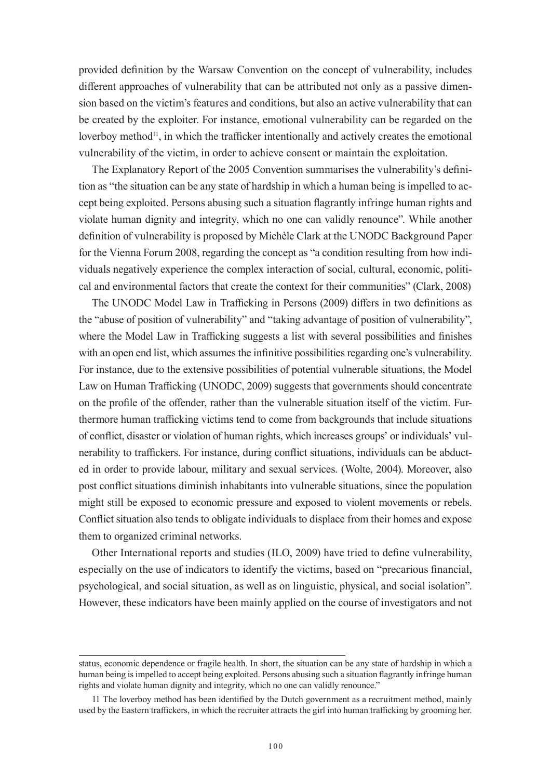provided definition by the Warsaw Convention on the concept of vulnerability, includes different approaches of vulnerability that can be attributed not only as a passive dimension based on the victim's features and conditions, but also an active vulnerability that can be created by the exploiter. For instance, emotional vulnerability can be regarded on the loverboy method<sup>11</sup>, in which the trafficker intentionally and actively creates the emotional vulnerability of the victim, in order to achieve consent or maintain the exploitation.

The Explanatory Report of the 2005 Convention summarises the vulnerability's definition as "the situation can be any state of hardship in which a human being is impelled to accept being exploited. Persons abusing such a situation flagrantly infringe human rights and violate human dignity and integrity, which no one can validly renounce". While another definition of vulnerability is proposed by Michèle Clark at the UNODC Background Paper for the Vienna Forum 2008, regarding the concept as "a condition resulting from how individuals negatively experience the complex interaction of social, cultural, economic, political and environmental factors that create the context for their communities" (Clark, 2008)

The UNODC Model Law in Trafficking in Persons (2009) differs in two definitions as the "abuse of position of vulnerability" and "taking advantage of position of vulnerability", where the Model Law in Trafficking suggests a list with several possibilities and finishes with an open end list, which assumes the infinitive possibilities regarding one's vulnerability. For instance, due to the extensive possibilities of potential vulnerable situations, the Model Law on Human Trafficking (UNODC, 2009) suggests that governments should concentrate on the profile of the offender, rather than the vulnerable situation itself of the victim. Furthermore human trafficking victims tend to come from backgrounds that include situations of conflict, disaster or violation of human rights, which increases groups' or individuals' vulnerability to traffickers. For instance, during conflict situations, individuals can be abducted in order to provide labour, military and sexual services. (Wolte, 2004). Moreover, also post conflict situations diminish inhabitants into vulnerable situations, since the population might still be exposed to economic pressure and exposed to violent movements or rebels. Conflict situation also tends to obligate individuals to displace from their homes and expose them to organized criminal networks.

Other International reports and studies (ILO, 2009) have tried to define vulnerability, especially on the use of indicators to identify the victims, based on "precarious financial, psychological, and social situation, as well as on linguistic, physical, and social isolation". However, these indicators have been mainly applied on the course of investigators and not

status, economic dependence or fragile health. In short, the situation can be any state of hardship in which a human being is impelled to accept being exploited. Persons abusing such a situation flagrantly infringe human rights and violate human dignity and integrity, which no one can validly renounce."

<sup>11</sup> The loverboy method has been identified by the Dutch government as a recruitment method, mainly used by the Eastern traffickers, in which the recruiter attracts the girl into human trafficking by grooming her.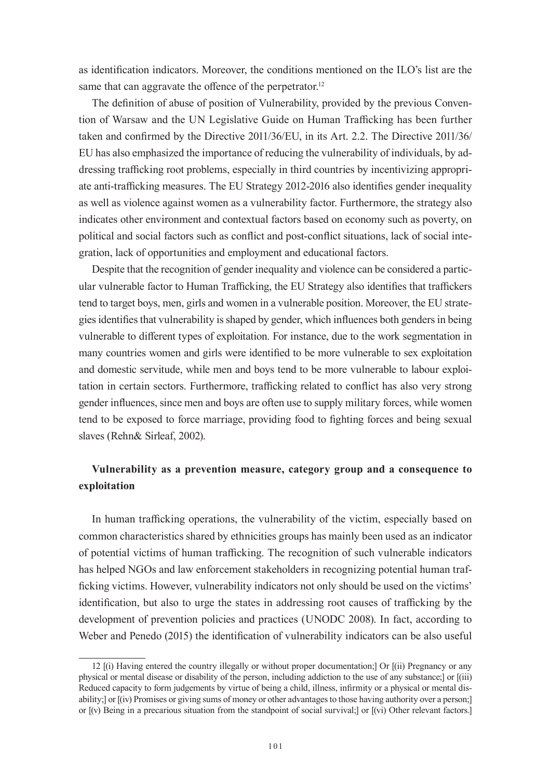as identification indicators. Moreover, the conditions mentioned on the ILO's list are the same that can aggravate the offence of the perpetrator.<sup>12</sup>

The definition of abuse of position of Vulnerability, provided by the previous Convention of Warsaw and the UN Legislative Guide on Human Trafficking has been further taken and confirmed by the Directive 2011/36/EU, in its Art. 2.2. The Directive 2011/36/ EU has also emphasized the importance of reducing the vulnerability of individuals, by addressing trafficking root problems, especially in third countries by incentivizing appropriate anti-trafficking measures. The EU Strategy 2012-2016 also identifies gender inequality as well as violence against women as a vulnerability factor. Furthermore, the strategy also indicates other environment and contextual factors based on economy such as poverty, on political and social factors such as conflict and post-conflict situations, lack of social integration, lack of opportunities and employment and educational factors.

Despite that the recognition of gender inequality and violence can be considered a particular vulnerable factor to Human Trafficking, the EU Strategy also identifies that traffickers tend to target boys, men, girls and women in a vulnerable position. Moreover, the EU strategies identifies that vulnerability is shaped by gender, which influences both genders in being vulnerable to different types of exploitation. For instance, due to the work segmentation in many countries women and girls were identified to be more vulnerable to sex exploitation and domestic servitude, while men and boys tend to be more vulnerable to labour exploitation in certain sectors. Furthermore, trafficking related to conflict has also very strong gender influences, since men and boys are often use to supply military forces, while women tend to be exposed to force marriage, providing food to fighting forces and being sexual slaves (Rehn& Sirleaf, 2002).

#### **Vulnerability as a prevention measure, category group and a consequence to exploitation**

In human trafficking operations, the vulnerability of the victim, especially based on common characteristics shared by ethnicities groups has mainly been used as an indicator of potential victims of human trafficking. The recognition of such vulnerable indicators has helped NGOs and law enforcement stakeholders in recognizing potential human trafficking victims. However, vulnerability indicators not only should be used on the victims' identification, but also to urge the states in addressing root causes of trafficking by the development of prevention policies and practices (UNODC 2008). In fact, according to Weber and Penedo (2015) the identification of vulnerability indicators can be also useful

<sup>12 [(</sup>i) Having entered the country illegally or without proper documentation;] Or [(ii) Pregnancy or any physical or mental disease or disability of the person, including addiction to the use of any substance;] or [(iii) Reduced capacity to form judgements by virtue of being a child, illness, infirmity or a physical or mental disability;] or [(iv) Promises or giving sums of money or other advantages to those having authority over a person;] or [(v) Being in a precarious situation from the standpoint of social survival;] or [(vi) Other relevant factors.]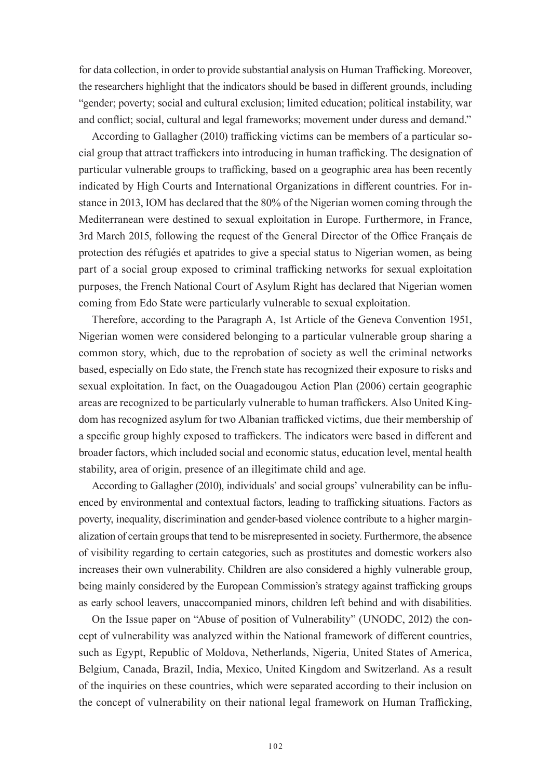for data collection, in order to provide substantial analysis on Human Trafficking. Moreover, the researchers highlight that the indicators should be based in different grounds, including "gender; poverty; social and cultural exclusion; limited education; political instability, war and conflict; social, cultural and legal frameworks; movement under duress and demand."

According to Gallagher (2010) trafficking victims can be members of a particular social group that attract traffickers into introducing in human trafficking. The designation of particular vulnerable groups to trafficking, based on a geographic area has been recently indicated by High Courts and International Organizations in different countries. For instance in 2013, IOM has declared that the 80% of the Nigerian women coming through the Mediterranean were destined to sexual exploitation in Europe. Furthermore, in France, 3rd March 2015, following the request of the General Director of the Office Français de protection des réfugiés et apatrides to give a special status to Nigerian women, as being part of a social group exposed to criminal trafficking networks for sexual exploitation purposes, the French National Court of Asylum Right has declared that Nigerian women coming from Edo State were particularly vulnerable to sexual exploitation.

Therefore, according to the Paragraph A, 1st Article of the Geneva Convention 1951, Nigerian women were considered belonging to a particular vulnerable group sharing a common story, which, due to the reprobation of society as well the criminal networks based, especially on Edo state, the French state has recognized their exposure to risks and sexual exploitation. In fact, on the Ouagadougou Action Plan (2006) certain geographic areas are recognized to be particularly vulnerable to human traffickers. Also United Kingdom has recognized asylum for two Albanian trafficked victims, due their membership of a specific group highly exposed to traffickers. The indicators were based in different and broader factors, which included social and economic status, education level, mental health stability, area of origin, presence of an illegitimate child and age.

According to Gallagher (2010), individuals' and social groups' vulnerability can be influenced by environmental and contextual factors, leading to trafficking situations. Factors as poverty, inequality, discrimination and gender-based violence contribute to a higher marginalization of certain groups that tend to be misrepresented in society. Furthermore, the absence of visibility regarding to certain categories, such as prostitutes and domestic workers also increases their own vulnerability. Children are also considered a highly vulnerable group, being mainly considered by the European Commission's strategy against trafficking groups as early school leavers, unaccompanied minors, children left behind and with disabilities.

On the Issue paper on "Abuse of position of Vulnerability" (UNODC, 2012) the concept of vulnerability was analyzed within the National framework of different countries, such as Egypt, Republic of Moldova, Netherlands, Nigeria, United States of America, Belgium, Canada, Brazil, India, Mexico, United Kingdom and Switzerland. As a result of the inquiries on these countries, which were separated according to their inclusion on the concept of vulnerability on their national legal framework on Human Trafficking,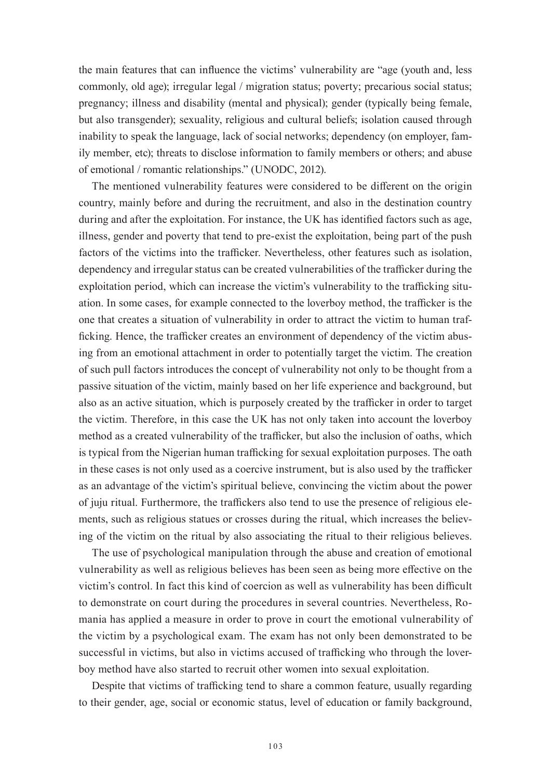the main features that can influence the victims' vulnerability are "age (youth and, less commonly, old age); irregular legal / migration status; poverty; precarious social status; pregnancy; illness and disability (mental and physical); gender (typically being female, but also transgender); sexuality, religious and cultural beliefs; isolation caused through inability to speak the language, lack of social networks; dependency (on employer, family member, etc); threats to disclose information to family members or others; and abuse of emotional / romantic relationships." (UNODC, 2012).

The mentioned vulnerability features were considered to be different on the origin country, mainly before and during the recruitment, and also in the destination country during and after the exploitation. For instance, the UK has identified factors such as age, illness, gender and poverty that tend to pre-exist the exploitation, being part of the push factors of the victims into the trafficker. Nevertheless, other features such as isolation, dependency and irregular status can be created vulnerabilities of the trafficker during the exploitation period, which can increase the victim's vulnerability to the trafficking situation. In some cases, for example connected to the loverboy method, the trafficker is the one that creates a situation of vulnerability in order to attract the victim to human trafficking. Hence, the trafficker creates an environment of dependency of the victim abusing from an emotional attachment in order to potentially target the victim. The creation of such pull factors introduces the concept of vulnerability not only to be thought from a passive situation of the victim, mainly based on her life experience and background, but also as an active situation, which is purposely created by the trafficker in order to target the victim. Therefore, in this case the UK has not only taken into account the loverboy method as a created vulnerability of the trafficker, but also the inclusion of oaths, which is typical from the Nigerian human trafficking for sexual exploitation purposes. The oath in these cases is not only used as a coercive instrument, but is also used by the trafficker as an advantage of the victim's spiritual believe, convincing the victim about the power of juju ritual. Furthermore, the traffickers also tend to use the presence of religious elements, such as religious statues or crosses during the ritual, which increases the believing of the victim on the ritual by also associating the ritual to their religious believes.

The use of psychological manipulation through the abuse and creation of emotional vulnerability as well as religious believes has been seen as being more effective on the victim's control. In fact this kind of coercion as well as vulnerability has been difficult to demonstrate on court during the procedures in several countries. Nevertheless, Romania has applied a measure in order to prove in court the emotional vulnerability of the victim by a psychological exam. The exam has not only been demonstrated to be successful in victims, but also in victims accused of trafficking who through the loverboy method have also started to recruit other women into sexual exploitation.

Despite that victims of trafficking tend to share a common feature, usually regarding to their gender, age, social or economic status, level of education or family background,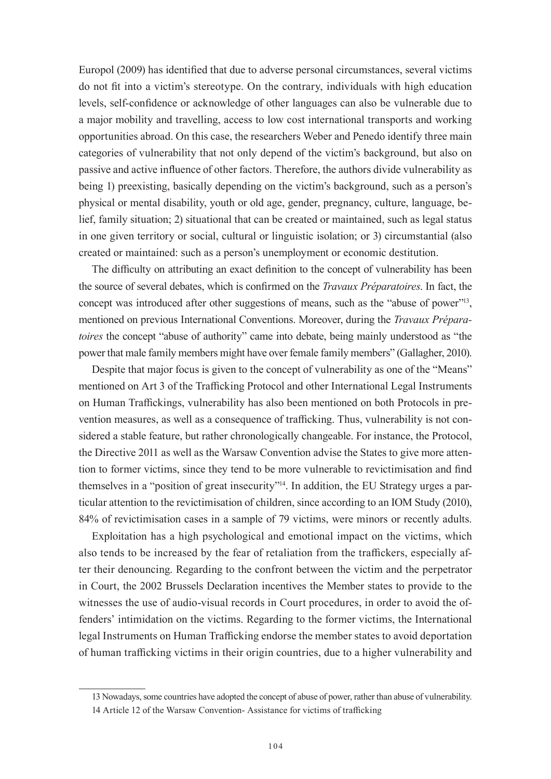Europol (2009) has identified that due to adverse personal circumstances, several victims do not fit into a victim's stereotype. On the contrary, individuals with high education levels, self-confidence or acknowledge of other languages can also be vulnerable due to a major mobility and travelling, access to low cost international transports and working opportunities abroad. On this case, the researchers Weber and Penedo identify three main categories of vulnerability that not only depend of the victim's background, but also on passive and active influence of other factors. Therefore, the authors divide vulnerability as being 1) preexisting, basically depending on the victim's background, such as a person's physical or mental disability, youth or old age, gender, pregnancy, culture, language, belief, family situation; 2) situational that can be created or maintained, such as legal status in one given territory or social, cultural or linguistic isolation; or 3) circumstantial (also created or maintained: such as a person's unemployment or economic destitution.

The difficulty on attributing an exact definition to the concept of vulnerability has been the source of several debates, which is confirmed on the *Travaux Préparatoires*. In fact, the concept was introduced after other suggestions of means, such as the "abuse of power"<sup>13</sup>, mentioned on previous International Conventions. Moreover, during the *Travaux Préparatoires* the concept "abuse of authority" came into debate, being mainly understood as "the power that male family members might have over female family members" (Gallagher, 2010).

Despite that major focus is given to the concept of vulnerability as one of the "Means" mentioned on Art 3 of the Trafficking Protocol and other International Legal Instruments on Human Traffickings, vulnerability has also been mentioned on both Protocols in prevention measures, as well as a consequence of trafficking. Thus, vulnerability is not considered a stable feature, but rather chronologically changeable. For instance, the Protocol, the Directive 2011 as well as the Warsaw Convention advise the States to give more attention to former victims, since they tend to be more vulnerable to revictimisation and find themselves in a "position of great insecurity"14. In addition, the EU Strategy urges a particular attention to the revictimisation of children, since according to an IOM Study (2010), 84% of revictimisation cases in a sample of 79 victims, were minors or recently adults.

Exploitation has a high psychological and emotional impact on the victims, which also tends to be increased by the fear of retaliation from the traffickers, especially after their denouncing. Regarding to the confront between the victim and the perpetrator in Court, the 2002 Brussels Declaration incentives the Member states to provide to the witnesses the use of audio-visual records in Court procedures, in order to avoid the offenders' intimidation on the victims. Regarding to the former victims, the International legal Instruments on Human Trafficking endorse the member states to avoid deportation of human trafficking victims in their origin countries, due to a higher vulnerability and

<sup>13</sup> Nowadays, some countries have adopted the concept of abuse of power, rather than abuse of vulnerability.

<sup>14</sup> Article 12 of the Warsaw Convention- Assistance for victims of trafficking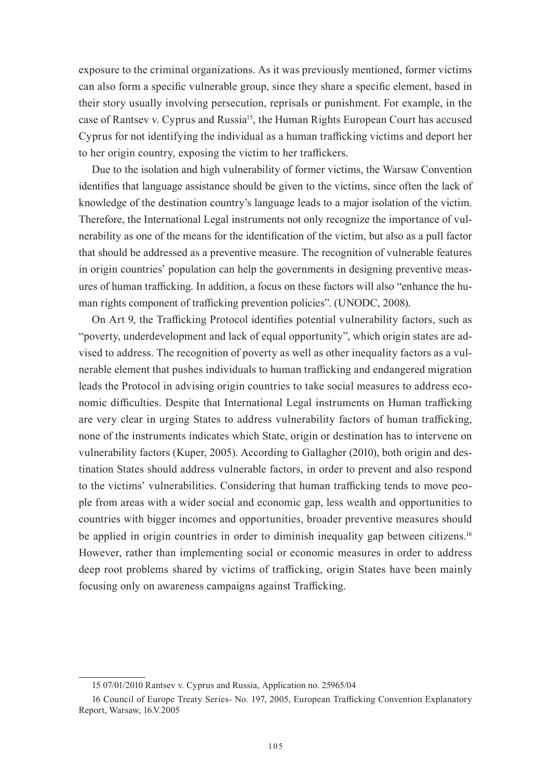exposure to the criminal organizations. As it was previously mentioned, former victims can also form a specific vulnerable group, since they share a specific element, based in their story usually involving persecution, reprisals or punishment. For example, in the case of Rantsev v. Cyprus and Russia<sup>15</sup>, the Human Rights European Court has accused Cyprus for not identifying the individual as a human trafficking victims and deport her to her origin country, exposing the victim to her traffickers.

Due to the isolation and high vulnerability of former victims, the Warsaw Convention identifies that language assistance should be given to the victims, since often the lack of knowledge of the destination country's language leads to a major isolation of the victim. Therefore, the International Legal instruments not only recognize the importance of vulnerability as one of the means for the identification of the victim, but also as a pull factor that should be addressed as a preventive measure. The recognition of vulnerable features in origin countries' population can help the governments in designing preventive measures of human trafficking. In addition, a focus on these factors will also "enhance the human rights component of trafficking prevention policies". (UNODC, 2008).

On Art 9, the Trafficking Protocol identifies potential vulnerability factors, such as "poverty, underdevelopment and lack of equal opportunity", which origin states are advised to address. The recognition of poverty as well as other inequality factors as a vulnerable element that pushes individuals to human trafficking and endangered migration leads the Protocol in advising origin countries to take social measures to address economic difficulties. Despite that International Legal instruments on Human trafficking are very clear in urging States to address vulnerability factors of human trafficking, none of the instruments indicates which State, origin or destination has to intervene on vulnerability factors (Kuper, 2005). According to Gallagher (2010), both origin and destination States should address vulnerable factors, in order to prevent and also respond to the victims' vulnerabilities. Considering that human trafficking tends to move people from areas with a wider social and economic gap, less wealth and opportunities to countries with bigger incomes and opportunities, broader preventive measures should be applied in origin countries in order to diminish inequality gap between citizens.<sup>16</sup> However, rather than implementing social or economic measures in order to address deep root problems shared by victims of trafficking, origin States have been mainly focusing only on awareness campaigns against Trafficking.

<sup>15 07/01/2010</sup> Rantsev v. Cyprus and Russia, Application no. 25965/04

<sup>16</sup> Council of Europe Treaty Series- No. 197, 2005, European Trafficking Convention Explanatory Report, Warsaw, 16.V.2005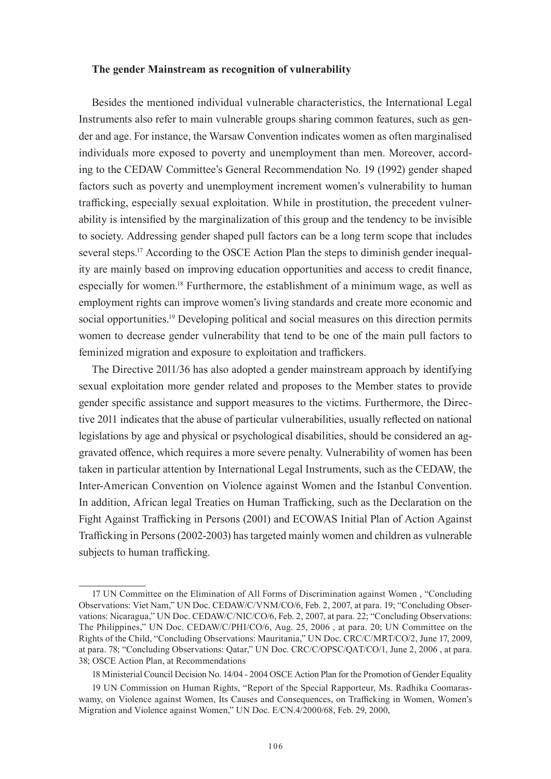#### **The gender Mainstream as recognition of vulnerability**

Besides the mentioned individual vulnerable characteristics, the International Legal Instruments also refer to main vulnerable groups sharing common features, such as gender and age. For instance, the Warsaw Convention indicates women as often marginalised individuals more exposed to poverty and unemployment than men. Moreover, according to the CEDAW Committee's General Recommendation No. 19 (1992) gender shaped factors such as poverty and unemployment increment women's vulnerability to human trafficking, especially sexual exploitation. While in prostitution, the precedent vulnerability is intensified by the marginalization of this group and the tendency to be invisible to society. Addressing gender shaped pull factors can be a long term scope that includes several steps.<sup>17</sup> According to the OSCE Action Plan the steps to diminish gender inequality are mainly based on improving education opportunities and access to credit finance, especially for women.<sup>18</sup> Furthermore, the establishment of a minimum wage, as well as employment rights can improve women's living standards and create more economic and social opportunities.<sup>19</sup> Developing political and social measures on this direction permits women to decrease gender vulnerability that tend to be one of the main pull factors to feminized migration and exposure to exploitation and traffickers.

The Directive 2011/36 has also adopted a gender mainstream approach by identifying sexual exploitation more gender related and proposes to the Member states to provide gender specific assistance and support measures to the victims. Furthermore, the Directive 2011 indicates that the abuse of particular vulnerabilities, usually reflected on national legislations by age and physical or psychological disabilities, should be considered an aggravated offence, which requires a more severe penalty. Vulnerability of women has been taken in particular attention by International Legal Instruments, such as the CEDAW, the Inter-American Convention on Violence against Women and the Istanbul Convention. In addition, African legal Treaties on Human Trafficking, such as the Declaration on the Fight Against Trafficking in Persons (2001) and ECOWAS Initial Plan of Action Against Trafficking in Persons (2002-2003) has targeted mainly women and children as vulnerable subjects to human trafficking.

<sup>17</sup> UN Committee on the Elimination of All Forms of Discrimination against Women , "Concluding Observations: Viet Nam," UN Doc. CEDAW/C/VNM/CO/6, Feb. 2, 2007, at para. 19; "Concluding Observations: Nicaragua," UN Doc. CEDAW/C/NIC/CO/6, Feb. 2, 2007, at para. 22; "Concluding Observations: The Philippines," UN Doc. CEDAW/C/PHI/CO/6, Aug. 25, 2006 , at para. 20; UN Committee on the Rights of the Child, "Concluding Observations: Mauritania," UN Doc. CRC/C/MRT/CO/2, June 17, 2009, at para. 78; "Concluding Observations: Qatar," UN Doc. CRC/C/OPSC/QAT/CO/1, June 2, 2006 , at para. 38; OSCE Action Plan, at Recommendations

<sup>18</sup> Ministerial Council Decision No. 14/04 - 2004 OSCE Action Plan for the Promotion of Gender Equality

<sup>19</sup> UN Commission on Human Rights, "Report of the Special Rapporteur, Ms. Radhika Coomaraswamy, on Violence against Women, Its Causes and Consequences, on Trafficking in Women, Women's Migration and Violence against Women," UN Doc. E/CN.4/2000/68, Feb. 29, 2000,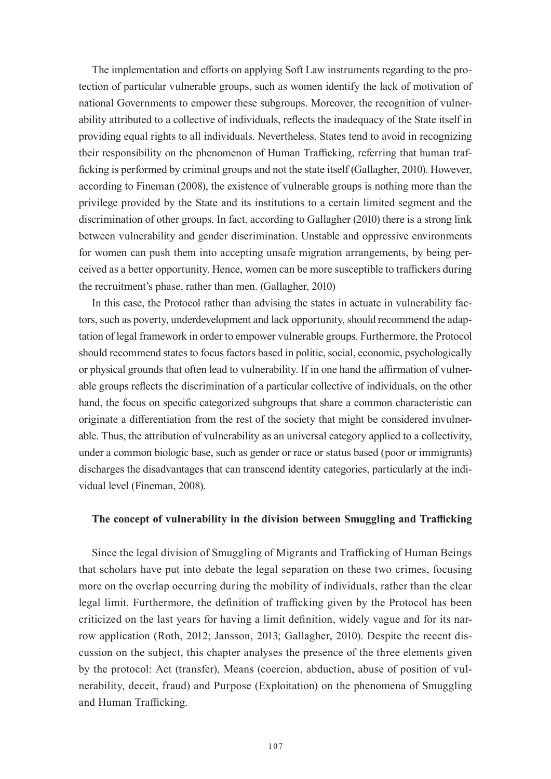The implementation and efforts on applying Soft Law instruments regarding to the protection of particular vulnerable groups, such as women identify the lack of motivation of national Governments to empower these subgroups. Moreover, the recognition of vulnerability attributed to a collective of individuals, reflects the inadequacy of the State itself in providing equal rights to all individuals. Nevertheless, States tend to avoid in recognizing their responsibility on the phenomenon of Human Trafficking, referring that human trafficking is performed by criminal groups and not the state itself (Gallagher, 2010). However, according to Fineman (2008), the existence of vulnerable groups is nothing more than the privilege provided by the State and its institutions to a certain limited segment and the discrimination of other groups. In fact, according to Gallagher (2010) there is a strong link between vulnerability and gender discrimination. Unstable and oppressive environments for women can push them into accepting unsafe migration arrangements, by being perceived as a better opportunity. Hence, women can be more susceptible to traffickers during the recruitment's phase, rather than men. (Gallagher, 2010)

In this case, the Protocol rather than advising the states in actuate in vulnerability factors, such as poverty, underdevelopment and lack opportunity, should recommend the adaptation of legal framework in order to empower vulnerable groups. Furthermore, the Protocol should recommend states to focus factors based in politic, social, economic, psychologically or physical grounds that often lead to vulnerability. If in one hand the affirmation of vulnerable groups reflects the discrimination of a particular collective of individuals, on the other hand, the focus on specific categorized subgroups that share a common characteristic can originate a differentiation from the rest of the society that might be considered invulnerable. Thus, the attribution of vulnerability as an universal category applied to a collectivity, under a common biologic base, such as gender or race or status based (poor or immigrants) discharges the disadvantages that can transcend identity categories, particularly at the individual level (Fineman, 2008).

#### **The concept of vulnerability in the division between Smuggling and Trafficking**

Since the legal division of Smuggling of Migrants and Trafficking of Human Beings that scholars have put into debate the legal separation on these two crimes, focusing more on the overlap occurring during the mobility of individuals, rather than the clear legal limit. Furthermore, the definition of trafficking given by the Protocol has been criticized on the last years for having a limit definition, widely vague and for its narrow application (Roth, 2012; Jansson, 2013; Gallagher, 2010). Despite the recent discussion on the subject, this chapter analyses the presence of the three elements given by the protocol: Act (transfer), Means (coercion, abduction, abuse of position of vulnerability, deceit, fraud) and Purpose (Exploitation) on the phenomena of Smuggling and Human Trafficking.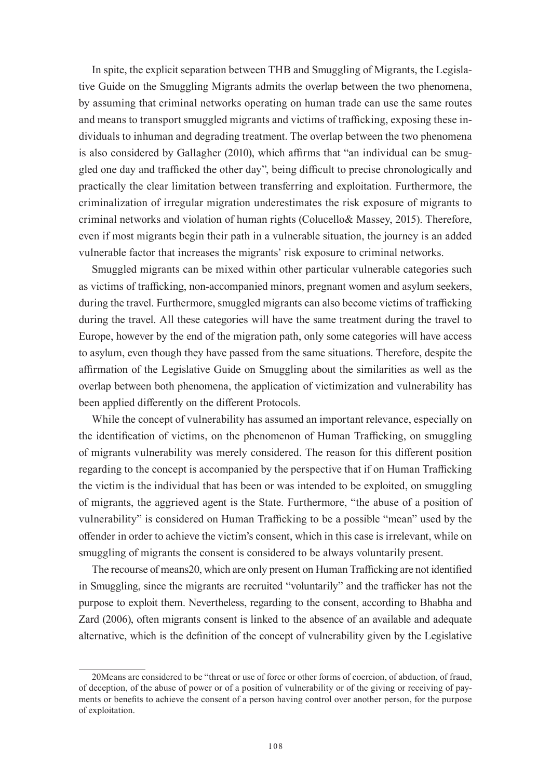In spite, the explicit separation between THB and Smuggling of Migrants, the Legislative Guide on the Smuggling Migrants admits the overlap between the two phenomena, by assuming that criminal networks operating on human trade can use the same routes and means to transport smuggled migrants and victims of trafficking, exposing these individuals to inhuman and degrading treatment. The overlap between the two phenomena is also considered by Gallagher (2010), which affirms that "an individual can be smuggled one day and trafficked the other day", being difficult to precise chronologically and practically the clear limitation between transferring and exploitation. Furthermore, the criminalization of irregular migration underestimates the risk exposure of migrants to criminal networks and violation of human rights (Colucello& Massey, 2015). Therefore, even if most migrants begin their path in a vulnerable situation, the journey is an added vulnerable factor that increases the migrants' risk exposure to criminal networks.

Smuggled migrants can be mixed within other particular vulnerable categories such as victims of trafficking, non-accompanied minors, pregnant women and asylum seekers, during the travel. Furthermore, smuggled migrants can also become victims of trafficking during the travel. All these categories will have the same treatment during the travel to Europe, however by the end of the migration path, only some categories will have access to asylum, even though they have passed from the same situations. Therefore, despite the affirmation of the Legislative Guide on Smuggling about the similarities as well as the overlap between both phenomena, the application of victimization and vulnerability has been applied differently on the different Protocols.

While the concept of vulnerability has assumed an important relevance, especially on the identification of victims, on the phenomenon of Human Trafficking, on smuggling of migrants vulnerability was merely considered. The reason for this different position regarding to the concept is accompanied by the perspective that if on Human Trafficking the victim is the individual that has been or was intended to be exploited, on smuggling of migrants, the aggrieved agent is the State. Furthermore, "the abuse of a position of vulnerability" is considered on Human Trafficking to be a possible "mean" used by the offender in order to achieve the victim's consent, which in this case is irrelevant, while on smuggling of migrants the consent is considered to be always voluntarily present.

The recourse of means20, which are only present on Human Trafficking are not identified in Smuggling, since the migrants are recruited "voluntarily" and the trafficker has not the purpose to exploit them. Nevertheless, regarding to the consent, according to Bhabha and Zard (2006), often migrants consent is linked to the absence of an available and adequate alternative, which is the definition of the concept of vulnerability given by the Legislative

<sup>20</sup>Means are considered to be "threat or use of force or other forms of coercion, of abduction, of fraud, of deception, of the abuse of power or of a position of vulnerability or of the giving or receiving of payments or benefits to achieve the consent of a person having control over another person, for the purpose of exploitation.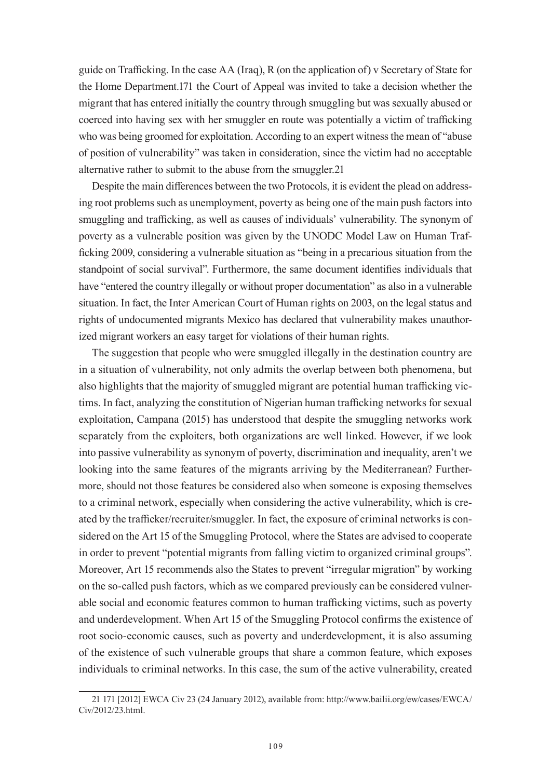guide on Trafficking. In the case AA (Iraq), R (on the application of) v Secretary of State for the Home Department.171 the Court of Appeal was invited to take a decision whether the migrant that has entered initially the country through smuggling but was sexually abused or coerced into having sex with her smuggler en route was potentially a victim of trafficking who was being groomed for exploitation. According to an expert witness the mean of "abuse of position of vulnerability" was taken in consideration, since the victim had no acceptable alternative rather to submit to the abuse from the smuggler.21

Despite the main differences between the two Protocols, it is evident the plead on addressing root problems such as unemployment, poverty as being one of the main push factors into smuggling and trafficking, as well as causes of individuals' vulnerability. The synonym of poverty as a vulnerable position was given by the UNODC Model Law on Human Trafficking 2009, considering a vulnerable situation as "being in a precarious situation from the standpoint of social survival". Furthermore, the same document identifies individuals that have "entered the country illegally or without proper documentation" as also in a vulnerable situation. In fact, the Inter American Court of Human rights on 2003, on the legal status and rights of undocumented migrants Mexico has declared that vulnerability makes unauthorized migrant workers an easy target for violations of their human rights.

The suggestion that people who were smuggled illegally in the destination country are in a situation of vulnerability, not only admits the overlap between both phenomena, but also highlights that the majority of smuggled migrant are potential human trafficking victims. In fact, analyzing the constitution of Nigerian human trafficking networks for sexual exploitation, Campana (2015) has understood that despite the smuggling networks work separately from the exploiters, both organizations are well linked. However, if we look into passive vulnerability as synonym of poverty, discrimination and inequality, aren't we looking into the same features of the migrants arriving by the Mediterranean? Furthermore, should not those features be considered also when someone is exposing themselves to a criminal network, especially when considering the active vulnerability, which is created by the trafficker/recruiter/smuggler. In fact, the exposure of criminal networks is considered on the Art 15 of the Smuggling Protocol, where the States are advised to cooperate in order to prevent "potential migrants from falling victim to organized criminal groups". Moreover, Art 15 recommends also the States to prevent "irregular migration" by working on the so-called push factors, which as we compared previously can be considered vulnerable social and economic features common to human trafficking victims, such as poverty and underdevelopment. When Art 15 of the Smuggling Protocol confirms the existence of root socio-economic causes, such as poverty and underdevelopment, it is also assuming of the existence of such vulnerable groups that share a common feature, which exposes individuals to criminal networks. In this case, the sum of the active vulnerability, created

<sup>21 171 [2012]</sup> EWCA Civ 23 (24 January 2012), available from: http://www.bailii.org/ew/cases/EWCA/ Civ/2012/23.html.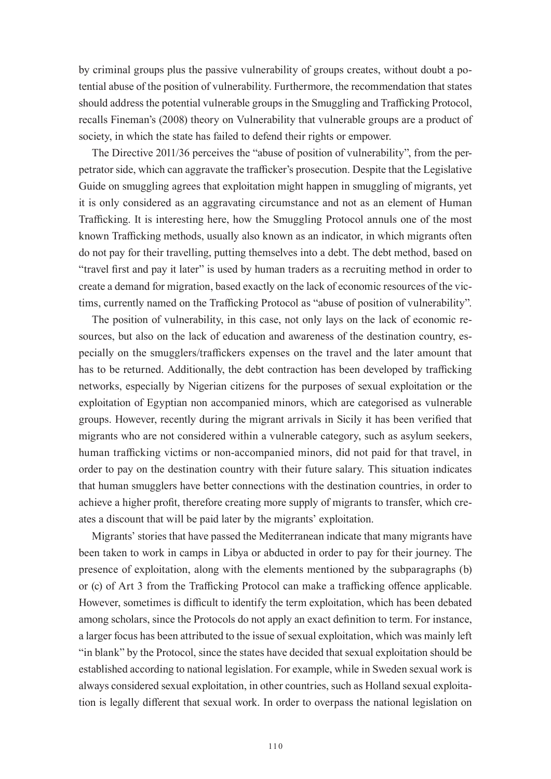by criminal groups plus the passive vulnerability of groups creates, without doubt a potential abuse of the position of vulnerability. Furthermore, the recommendation that states should address the potential vulnerable groups in the Smuggling and Trafficking Protocol, recalls Fineman's (2008) theory on Vulnerability that vulnerable groups are a product of society, in which the state has failed to defend their rights or empower.

The Directive 2011/36 perceives the "abuse of position of vulnerability", from the perpetrator side, which can aggravate the trafficker's prosecution. Despite that the Legislative Guide on smuggling agrees that exploitation might happen in smuggling of migrants, yet it is only considered as an aggravating circumstance and not as an element of Human Trafficking. It is interesting here, how the Smuggling Protocol annuls one of the most known Trafficking methods, usually also known as an indicator, in which migrants often do not pay for their travelling, putting themselves into a debt. The debt method, based on "travel first and pay it later" is used by human traders as a recruiting method in order to create a demand for migration, based exactly on the lack of economic resources of the victims, currently named on the Trafficking Protocol as "abuse of position of vulnerability".

The position of vulnerability, in this case, not only lays on the lack of economic resources, but also on the lack of education and awareness of the destination country, especially on the smugglers/traffickers expenses on the travel and the later amount that has to be returned. Additionally, the debt contraction has been developed by trafficking networks, especially by Nigerian citizens for the purposes of sexual exploitation or the exploitation of Egyptian non accompanied minors, which are categorised as vulnerable groups. However, recently during the migrant arrivals in Sicily it has been verified that migrants who are not considered within a vulnerable category, such as asylum seekers, human trafficking victims or non-accompanied minors, did not paid for that travel, in order to pay on the destination country with their future salary. This situation indicates that human smugglers have better connections with the destination countries, in order to achieve a higher profit, therefore creating more supply of migrants to transfer, which creates a discount that will be paid later by the migrants' exploitation.

Migrants' stories that have passed the Mediterranean indicate that many migrants have been taken to work in camps in Libya or abducted in order to pay for their journey. The presence of exploitation, along with the elements mentioned by the subparagraphs (b) or (c) of Art 3 from the Trafficking Protocol can make a trafficking offence applicable. However, sometimes is difficult to identify the term exploitation, which has been debated among scholars, since the Protocols do not apply an exact definition to term. For instance, a larger focus has been attributed to the issue of sexual exploitation, which was mainly left "in blank" by the Protocol, since the states have decided that sexual exploitation should be established according to national legislation. For example, while in Sweden sexual work is always considered sexual exploitation, in other countries, such as Holland sexual exploitation is legally different that sexual work. In order to overpass the national legislation on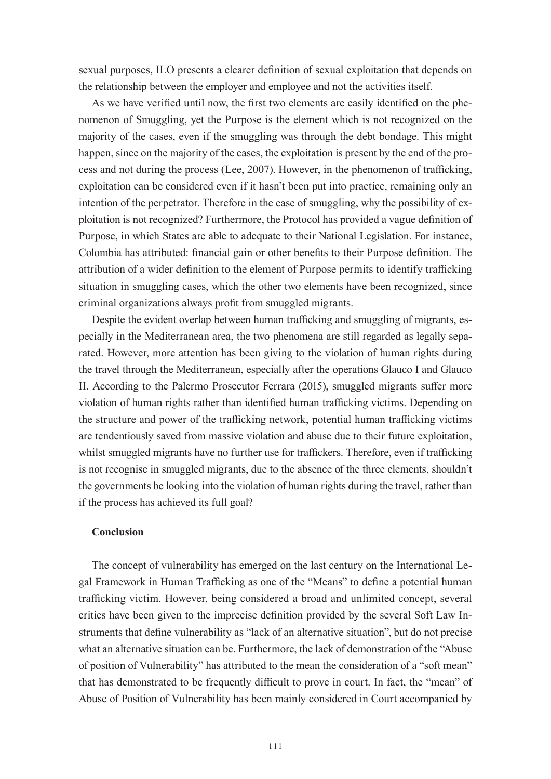sexual purposes, ILO presents a clearer definition of sexual exploitation that depends on the relationship between the employer and employee and not the activities itself.

As we have verified until now, the first two elements are easily identified on the phenomenon of Smuggling, yet the Purpose is the element which is not recognized on the majority of the cases, even if the smuggling was through the debt bondage. This might happen, since on the majority of the cases, the exploitation is present by the end of the process and not during the process (Lee, 2007). However, in the phenomenon of trafficking, exploitation can be considered even if it hasn't been put into practice, remaining only an intention of the perpetrator. Therefore in the case of smuggling, why the possibility of exploitation is not recognized? Furthermore, the Protocol has provided a vague definition of Purpose, in which States are able to adequate to their National Legislation. For instance, Colombia has attributed: financial gain or other benefits to their Purpose definition. The attribution of a wider definition to the element of Purpose permits to identify trafficking situation in smuggling cases, which the other two elements have been recognized, since criminal organizations always profit from smuggled migrants.

Despite the evident overlap between human trafficking and smuggling of migrants, especially in the Mediterranean area, the two phenomena are still regarded as legally separated. However, more attention has been giving to the violation of human rights during the travel through the Mediterranean, especially after the operations Glauco I and Glauco II. According to the Palermo Prosecutor Ferrara (2015), smuggled migrants suffer more violation of human rights rather than identified human trafficking victims. Depending on the structure and power of the trafficking network, potential human trafficking victims are tendentiously saved from massive violation and abuse due to their future exploitation, whilst smuggled migrants have no further use for traffickers. Therefore, even if trafficking is not recognise in smuggled migrants, due to the absence of the three elements, shouldn't the governments be looking into the violation of human rights during the travel, rather than if the process has achieved its full goal?

#### **Conclusion**

The concept of vulnerability has emerged on the last century on the International Legal Framework in Human Trafficking as one of the "Means" to define a potential human trafficking victim. However, being considered a broad and unlimited concept, several critics have been given to the imprecise definition provided by the several Soft Law Instruments that define vulnerability as "lack of an alternative situation", but do not precise what an alternative situation can be. Furthermore, the lack of demonstration of the "Abuse of position of Vulnerability" has attributed to the mean the consideration of a "soft mean" that has demonstrated to be frequently difficult to prove in court. In fact, the "mean" of Abuse of Position of Vulnerability has been mainly considered in Court accompanied by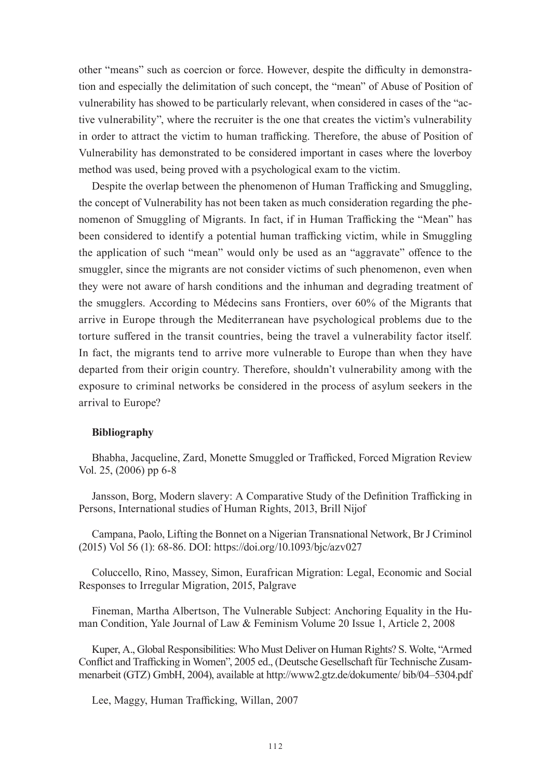other "means" such as coercion or force. However, despite the difficulty in demonstration and especially the delimitation of such concept, the "mean" of Abuse of Position of vulnerability has showed to be particularly relevant, when considered in cases of the "active vulnerability", where the recruiter is the one that creates the victim's vulnerability in order to attract the victim to human trafficking. Therefore, the abuse of Position of Vulnerability has demonstrated to be considered important in cases where the loverboy method was used, being proved with a psychological exam to the victim.

Despite the overlap between the phenomenon of Human Trafficking and Smuggling, the concept of Vulnerability has not been taken as much consideration regarding the phenomenon of Smuggling of Migrants. In fact, if in Human Trafficking the "Mean" has been considered to identify a potential human trafficking victim, while in Smuggling the application of such "mean" would only be used as an "aggravate" offence to the smuggler, since the migrants are not consider victims of such phenomenon, even when they were not aware of harsh conditions and the inhuman and degrading treatment of the smugglers. According to Médecins sans Frontiers, over 60% of the Migrants that arrive in Europe through the Mediterranean have psychological problems due to the torture suffered in the transit countries, being the travel a vulnerability factor itself. In fact, the migrants tend to arrive more vulnerable to Europe than when they have departed from their origin country. Therefore, shouldn't vulnerability among with the exposure to criminal networks be considered in the process of asylum seekers in the arrival to Europe?

#### **Bibliography**

Bhabha, Jacqueline, Zard, Monette Smuggled or Trafficked, Forced Migration Review Vol. 25, (2006) pp 6-8

Jansson, Borg, Modern slavery: A Comparative Study of the Definition Trafficking in Persons, International studies of Human Rights, 2013, Brill Nijof

Campana, Paolo, Lifting the Bonnet on a Nigerian Transnational Network, Br J Criminol (2015) Vol 56 (1): 68-86. DOI: https://doi.org/10.1093/bjc/azv027

Coluccello, Rino, Massey, Simon, Eurafrican Migration: Legal, Economic and Social Responses to Irregular Migration, 2015, Palgrave

Fineman, Martha Albertson, The Vulnerable Subject: Anchoring Equality in the Human Condition, Yale Journal of Law & Feminism Volume 20 Issue 1, Article 2, 2008

Kuper, A., Global Responsibilities: Who Must Deliver on Human Rights? S. Wolte, "Armed Conflict and Trafficking in Women", 2005 ed., (Deutsche Gesellschaft für Technische Zusammenarbeit (GTZ) GmbH, 2004), available at http://www2.gtz.de/dokumente/ bib/04–5304.pdf

Lee, Maggy, Human Trafficking, Willan, 2007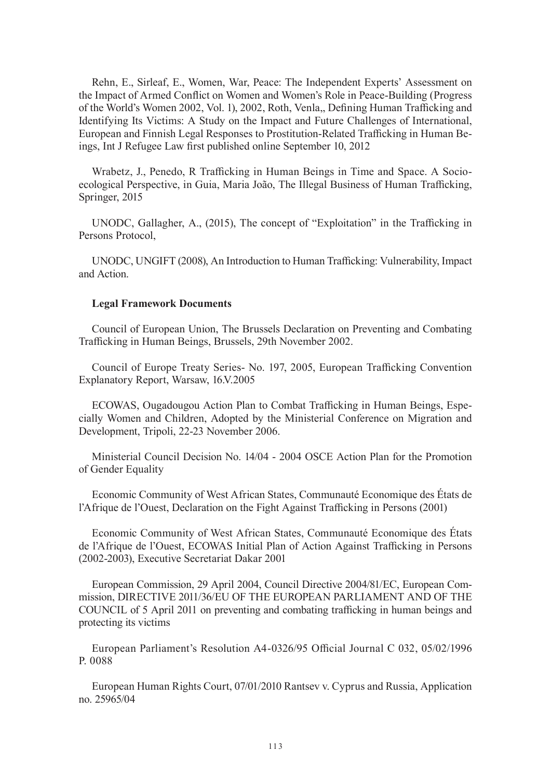Rehn, E., Sirleaf, E., Women, War, Peace: The Independent Experts' Assessment on the Impact of Armed Conflict on Women and Women's Role in Peace-Building (Progress of the World's Women 2002, Vol. 1), 2002, Roth, Venla,, Defining Human Trafficking and Identifying Its Victims: A Study on the Impact and Future Challenges of International, European and Finnish Legal Responses to Prostitution-Related Trafficking in Human Beings, Int J Refugee Law first published online September 10, 2012

Wrabetz, J., Penedo, R Trafficking in Human Beings in Time and Space. A Socioecological Perspective, in Guia, Maria João, The Illegal Business of Human Trafficking, Springer, 2015

UNODC, Gallagher, A., (2015), The concept of "Exploitation" in the Trafficking in Persons Protocol,

UNODC, UNGIFT (2008), An Introduction to Human Trafficking: Vulnerability, Impact and Action.

#### **Legal Framework Documents**

Council of European Union, The Brussels Declaration on Preventing and Combating Trafficking in Human Beings, Brussels, 29th November 2002.

Council of Europe Treaty Series- No. 197, 2005, European Trafficking Convention Explanatory Report, Warsaw, 16.V.2005

ECOWAS, Ougadougou Action Plan to Combat Trafficking in Human Beings, Especially Women and Children, Adopted by the Ministerial Conference on Migration and Development, Tripoli, 22-23 November 2006.

Ministerial Council Decision No. 14/04 - 2004 OSCE Action Plan for the Promotion of Gender Equality

Economic Community of West African States, Communauté Economique des États de l'Afrique de l'Ouest, Declaration on the Fight Against Trafficking in Persons (2001)

Economic Community of West African States, Communauté Economique des États de l'Afrique de l'Ouest, ECOWAS Initial Plan of Action Against Trafficking in Persons (2002-2003), Executive Secretariat Dakar 2001

European Commission, 29 April 2004, Council Directive 2004/81/EC, European Commission, DIRECTIVE 2011/36/EU OF THE EUROPEAN PARLIAMENT AND OF THE COUNCIL of 5 April 2011 on preventing and combating trafficking in human beings and protecting its victims

European Parliament's Resolution A4-0326/95 Official Journal C 032, 05/02/1996 P. 0088

European Human Rights Court, 07/01/2010 Rantsev v. Cyprus and Russia, Application no. 25965/04